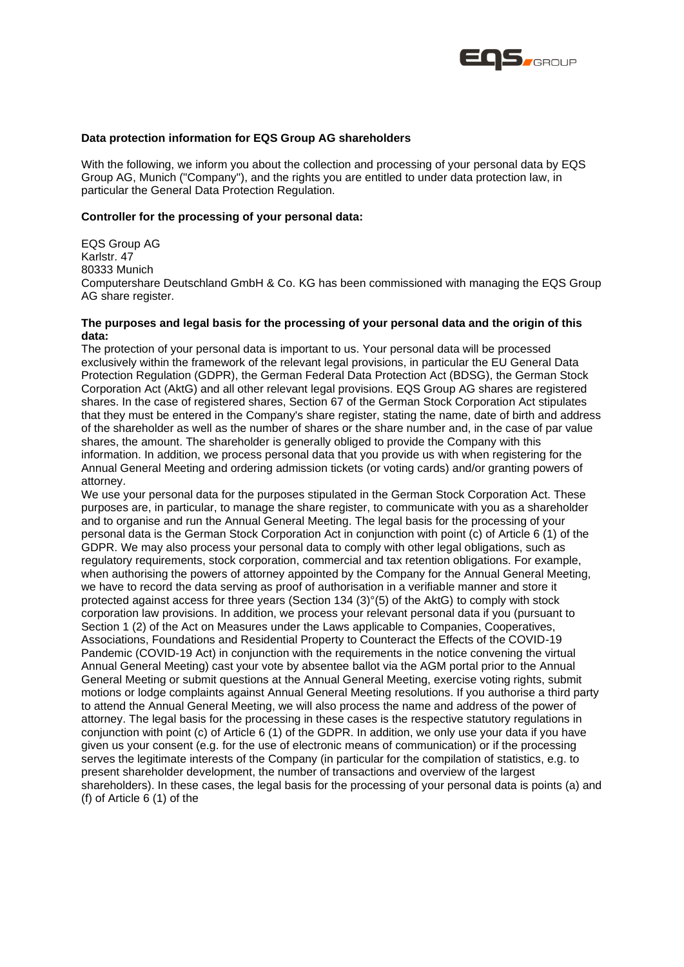

## **Data protection information for EQS Group AG shareholders**

With the following, we inform you about the collection and processing of your personal data by EQS Group AG, Munich ("Company"), and the rights you are entitled to under data protection law, in particular the General Data Protection Regulation.

# **Controller for the processing of your personal data:**

EQS Group AG Karlstr. 47 80333 Munich Computershare Deutschland GmbH & Co. KG has been commissioned with managing the EQS Group AG share register.

# **The purposes and legal basis for the processing of your personal data and the origin of this data:**

The protection of your personal data is important to us. Your personal data will be processed exclusively within the framework of the relevant legal provisions, in particular the EU General Data Protection Regulation (GDPR), the German Federal Data Protection Act (BDSG), the German Stock Corporation Act (AktG) and all other relevant legal provisions. EQS Group AG shares are registered shares. In the case of registered shares, Section 67 of the German Stock Corporation Act stipulates that they must be entered in the Company's share register, stating the name, date of birth and address of the shareholder as well as the number of shares or the share number and, in the case of par value shares, the amount. The shareholder is generally obliged to provide the Company with this information. In addition, we process personal data that you provide us with when registering for the Annual General Meeting and ordering admission tickets (or voting cards) and/or granting powers of attorney.

We use your personal data for the purposes stipulated in the German Stock Corporation Act. These purposes are, in particular, to manage the share register, to communicate with you as a shareholder and to organise and run the Annual General Meeting. The legal basis for the processing of your personal data is the German Stock Corporation Act in conjunction with point (c) of Article 6 (1) of the GDPR. We may also process your personal data to comply with other legal obligations, such as regulatory requirements, stock corporation, commercial and tax retention obligations. For example, when authorising the powers of attorney appointed by the Company for the Annual General Meeting, we have to record the data serving as proof of authorisation in a verifiable manner and store it protected against access for three years (Section 134 (3)°(5) of the AktG) to comply with stock corporation law provisions. In addition, we process your relevant personal data if you (pursuant to Section 1 (2) of the Act on Measures under the Laws applicable to Companies, Cooperatives, Associations, Foundations and Residential Property to Counteract the Effects of the COVID-19 Pandemic (COVID-19 Act) in conjunction with the requirements in the notice convening the virtual Annual General Meeting) cast your vote by absentee ballot via the AGM portal prior to the Annual General Meeting or submit questions at the Annual General Meeting, exercise voting rights, submit motions or lodge complaints against Annual General Meeting resolutions. If you authorise a third party to attend the Annual General Meeting, we will also process the name and address of the power of attorney. The legal basis for the processing in these cases is the respective statutory regulations in conjunction with point (c) of Article 6 (1) of the GDPR. In addition, we only use your data if you have given us your consent (e.g. for the use of electronic means of communication) or if the processing serves the legitimate interests of the Company (in particular for the compilation of statistics, e.g. to present shareholder development, the number of transactions and overview of the largest shareholders). In these cases, the legal basis for the processing of your personal data is points (a) and (f) of Article 6 (1) of the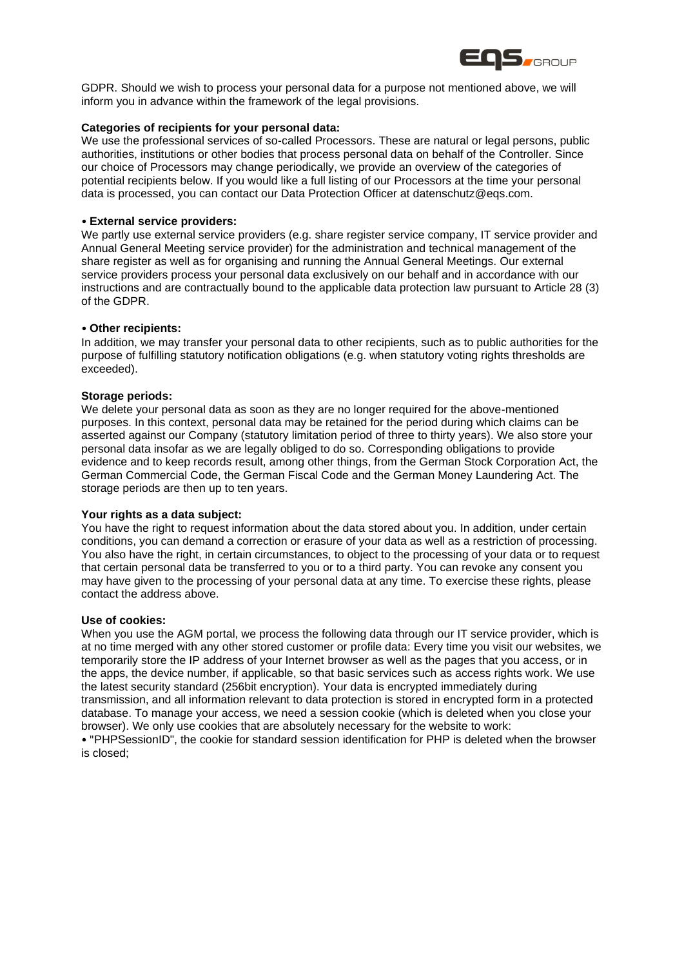

GDPR. Should we wish to process your personal data for a purpose not mentioned above, we will inform you in advance within the framework of the legal provisions.

### **Categories of recipients for your personal data:**

We use the professional services of so-called Processors. These are natural or legal persons, public authorities, institutions or other bodies that process personal data on behalf of the Controller. Since our choice of Processors may change periodically, we provide an overview of the categories of potential recipients below. If you would like a full listing of our Processors at the time your personal data is processed, you can contact our Data Protection Officer at datenschutz@eqs.com.

### • **External service providers:**

We partly use external service providers (e.g. share register service company, IT service provider and Annual General Meeting service provider) for the administration and technical management of the share register as well as for organising and running the Annual General Meetings. Our external service providers process your personal data exclusively on our behalf and in accordance with our instructions and are contractually bound to the applicable data protection law pursuant to Article 28 (3) of the GDPR.

#### • **Other recipients:**

In addition, we may transfer your personal data to other recipients, such as to public authorities for the purpose of fulfilling statutory notification obligations (e.g. when statutory voting rights thresholds are exceeded).

### **Storage periods:**

We delete your personal data as soon as they are no longer required for the above-mentioned purposes. In this context, personal data may be retained for the period during which claims can be asserted against our Company (statutory limitation period of three to thirty years). We also store your personal data insofar as we are legally obliged to do so. Corresponding obligations to provide evidence and to keep records result, among other things, from the German Stock Corporation Act, the German Commercial Code, the German Fiscal Code and the German Money Laundering Act. The storage periods are then up to ten years.

### **Your rights as a data subject:**

You have the right to request information about the data stored about you. In addition, under certain conditions, you can demand a correction or erasure of your data as well as a restriction of processing. You also have the right, in certain circumstances, to object to the processing of your data or to request that certain personal data be transferred to you or to a third party. You can revoke any consent you may have given to the processing of your personal data at any time. To exercise these rights, please contact the address above.

#### **Use of cookies:**

When you use the AGM portal, we process the following data through our IT service provider, which is at no time merged with any other stored customer or profile data: Every time you visit our websites, we temporarily store the IP address of your Internet browser as well as the pages that you access, or in the apps, the device number, if applicable, so that basic services such as access rights work. We use the latest security standard (256bit encryption). Your data is encrypted immediately during transmission, and all information relevant to data protection is stored in encrypted form in a protected database. To manage your access, we need a session cookie (which is deleted when you close your browser). We only use cookies that are absolutely necessary for the website to work: • "PHPSessionID", the cookie for standard session identification for PHP is deleted when the browser is closed;